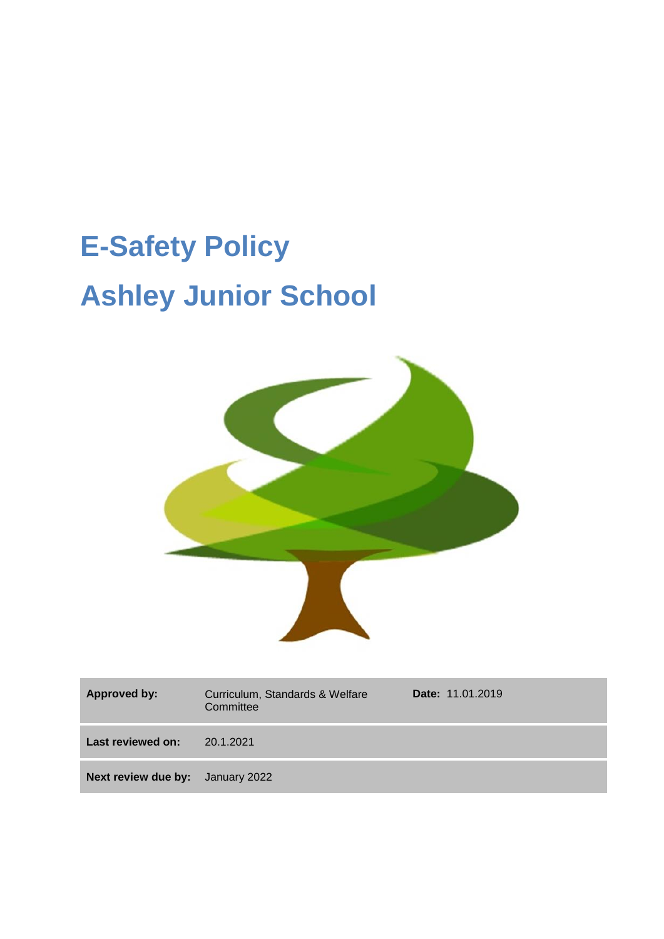# **E-Safety Policy Ashley Junior School**



| <b>Approved by:</b>                     | Curriculum, Standards & Welfare<br>Committee | <b>Date: 11.01.2019</b> |
|-----------------------------------------|----------------------------------------------|-------------------------|
| Last reviewed on:                       | 20.1.2021                                    |                         |
| <b>Next review due by:</b> January 2022 |                                              |                         |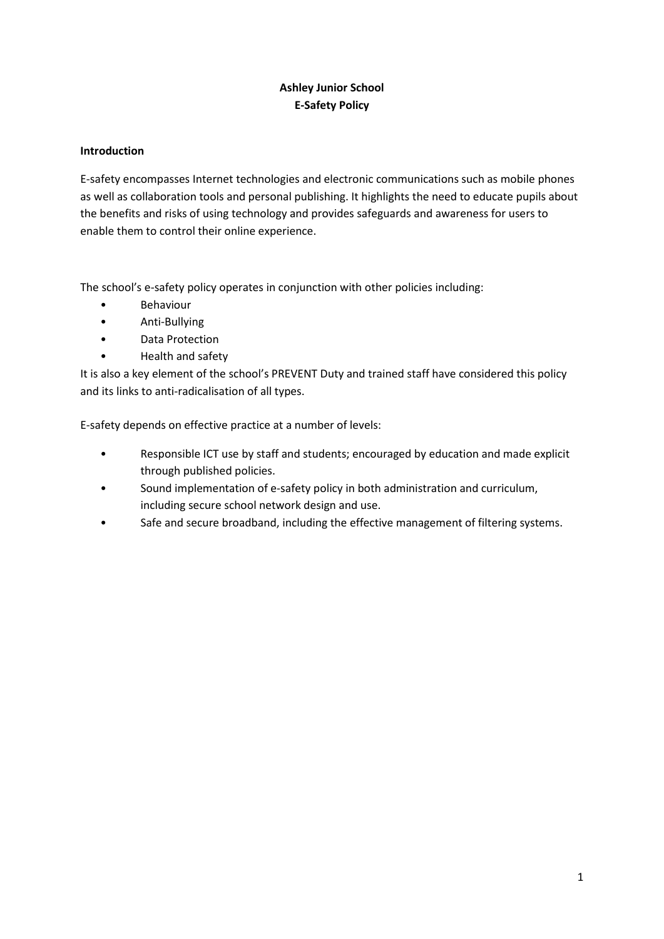# **Ashley Junior School E-Safety Policy**

# **Introduction**

E-safety encompasses Internet technologies and electronic communications such as mobile phones as well as collaboration tools and personal publishing. It highlights the need to educate pupils about the benefits and risks of using technology and provides safeguards and awareness for users to enable them to control their online experience.

The school's e-safety policy operates in conjunction with other policies including:

- Behaviour
- Anti-Bullying
- Data Protection
- Health and safety

It is also a key element of the school's PREVENT Duty and trained staff have considered this policy and its links to anti-radicalisation of all types.

E-safety depends on effective practice at a number of levels:

- Responsible ICT use by staff and students; encouraged by education and made explicit through published policies.
- Sound implementation of e-safety policy in both administration and curriculum, including secure school network design and use.
- Safe and secure broadband, including the effective management of filtering systems.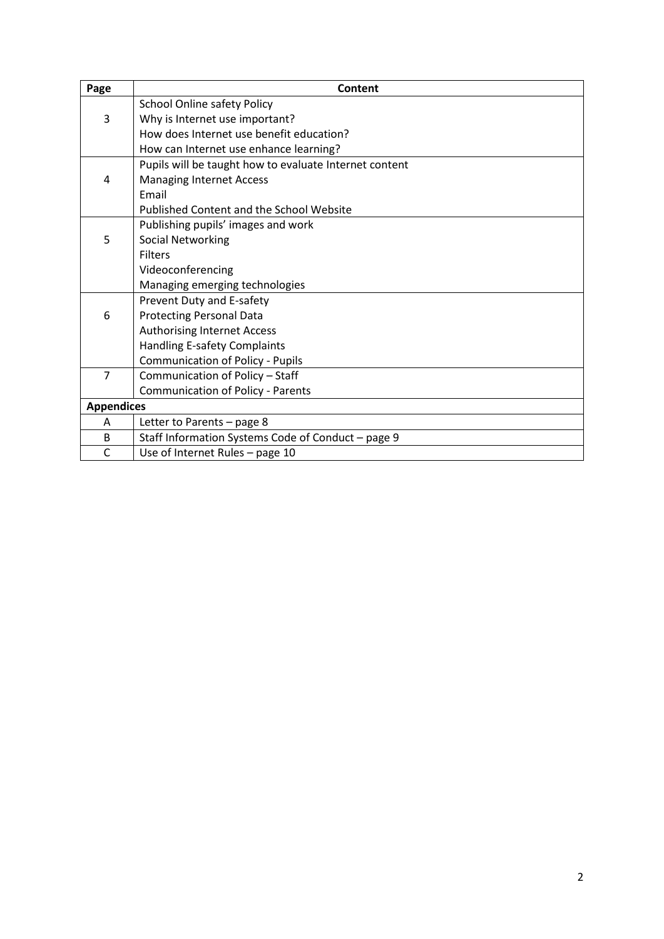| Page              | <b>Content</b>                                         |
|-------------------|--------------------------------------------------------|
|                   | <b>School Online safety Policy</b>                     |
| 3                 | Why is Internet use important?                         |
|                   | How does Internet use benefit education?               |
|                   | How can Internet use enhance learning?                 |
|                   | Pupils will be taught how to evaluate Internet content |
| 4                 | <b>Managing Internet Access</b>                        |
|                   | Email                                                  |
|                   | <b>Published Content and the School Website</b>        |
|                   | Publishing pupils' images and work                     |
| 5                 | <b>Social Networking</b>                               |
|                   | <b>Filters</b>                                         |
|                   | Videoconferencing                                      |
|                   | Managing emerging technologies                         |
|                   | Prevent Duty and E-safety                              |
| 6                 | <b>Protecting Personal Data</b>                        |
|                   | <b>Authorising Internet Access</b>                     |
|                   | <b>Handling E-safety Complaints</b>                    |
|                   | <b>Communication of Policy - Pupils</b>                |
| $\overline{7}$    | Communication of Policy - Staff                        |
|                   | <b>Communication of Policy - Parents</b>               |
| <b>Appendices</b> |                                                        |
| A                 | Letter to Parents - page 8                             |
| B                 | Staff Information Systems Code of Conduct - page 9     |
| $\mathsf{C}$      | Use of Internet Rules - page 10                        |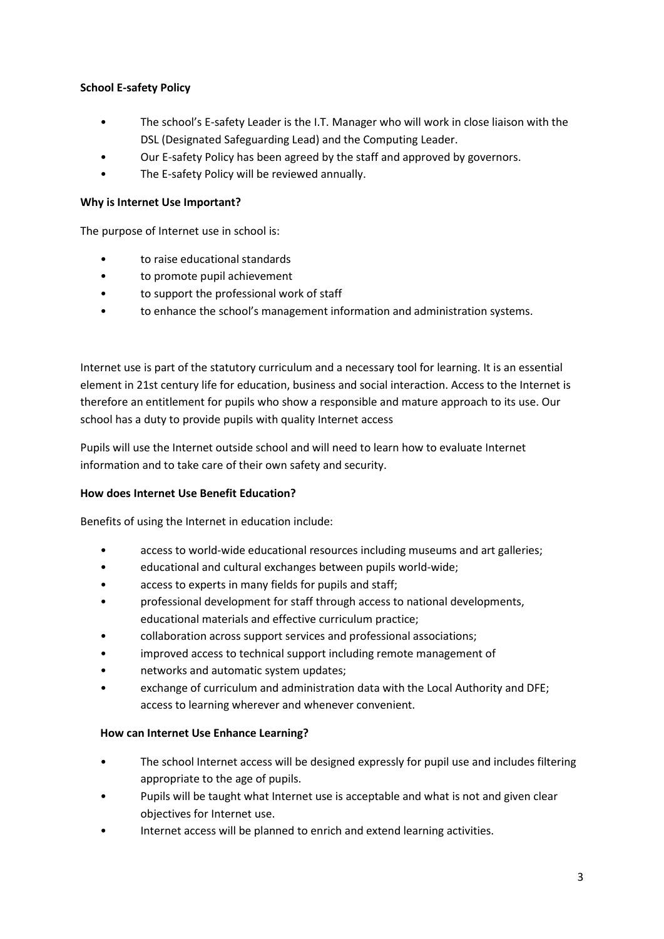# **School E-safety Policy**

- The school's E-safety Leader is the I.T. Manager who will work in close liaison with the DSL (Designated Safeguarding Lead) and the Computing Leader.
- Our E-safety Policy has been agreed by the staff and approved by governors.
- The E-safety Policy will be reviewed annually.

#### **Why is Internet Use Important?**

The purpose of Internet use in school is:

- to raise educational standards
- to promote pupil achievement
- to support the professional work of staff
- to enhance the school's management information and administration systems.

Internet use is part of the statutory curriculum and a necessary tool for learning. It is an essential element in 21st century life for education, business and social interaction. Access to the Internet is therefore an entitlement for pupils who show a responsible and mature approach to its use. Our school has a duty to provide pupils with quality Internet access

Pupils will use the Internet outside school and will need to learn how to evaluate Internet information and to take care of their own safety and security.

#### **How does Internet Use Benefit Education?**

Benefits of using the Internet in education include:

- access to world-wide educational resources including museums and art galleries;
- educational and cultural exchanges between pupils world-wide;
- access to experts in many fields for pupils and staff;
- professional development for staff through access to national developments, educational materials and effective curriculum practice;
- collaboration across support services and professional associations;
- improved access to technical support including remote management of
- networks and automatic system updates;
- exchange of curriculum and administration data with the Local Authority and DFE; access to learning wherever and whenever convenient.

#### **How can Internet Use Enhance Learning?**

- The school Internet access will be designed expressly for pupil use and includes filtering appropriate to the age of pupils.
- Pupils will be taught what Internet use is acceptable and what is not and given clear objectives for Internet use.
- Internet access will be planned to enrich and extend learning activities.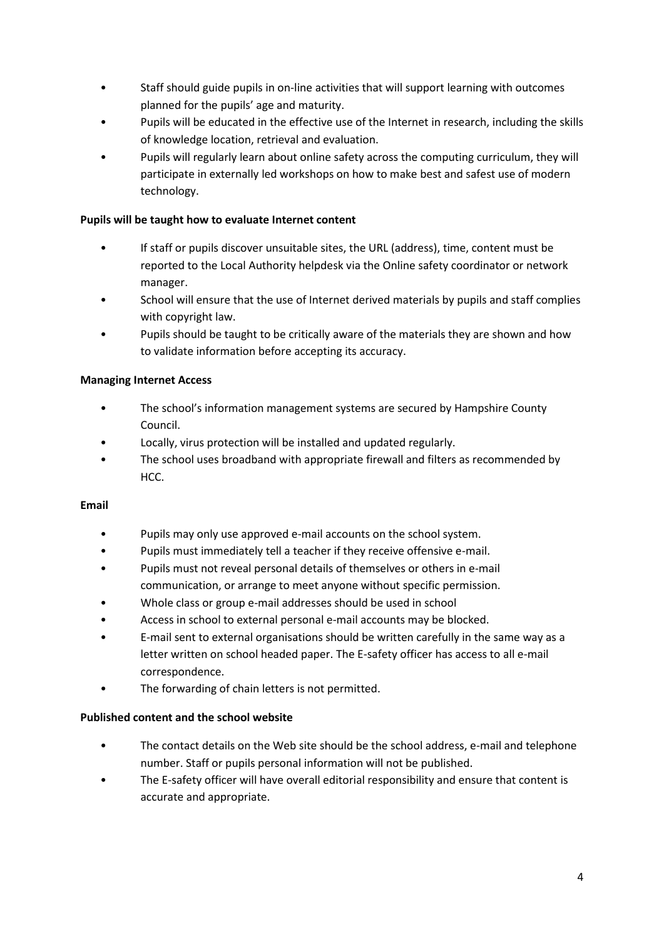- Staff should guide pupils in on-line activities that will support learning with outcomes planned for the pupils' age and maturity.
- Pupils will be educated in the effective use of the Internet in research, including the skills of knowledge location, retrieval and evaluation.
- Pupils will regularly learn about online safety across the computing curriculum, they will participate in externally led workshops on how to make best and safest use of modern technology.

# **Pupils will be taught how to evaluate Internet content**

- If staff or pupils discover unsuitable sites, the URL (address), time, content must be reported to the Local Authority helpdesk via the Online safety coordinator or network manager.
- School will ensure that the use of Internet derived materials by pupils and staff complies with copyright law.
- Pupils should be taught to be critically aware of the materials they are shown and how to validate information before accepting its accuracy.

# **Managing Internet Access**

- The school's information management systems are secured by Hampshire County Council.
- Locally, virus protection will be installed and updated regularly.
- The school uses broadband with appropriate firewall and filters as recommended by HCC.

# **Email**

- Pupils may only use approved e-mail accounts on the school system.
- Pupils must immediately tell a teacher if they receive offensive e-mail.
- Pupils must not reveal personal details of themselves or others in e-mail communication, or arrange to meet anyone without specific permission.
- Whole class or group e-mail addresses should be used in school
- Access in school to external personal e-mail accounts may be blocked.
- E-mail sent to external organisations should be written carefully in the same way as a letter written on school headed paper. The E-safety officer has access to all e-mail correspondence.
- The forwarding of chain letters is not permitted.

# **Published content and the school website**

- The contact details on the Web site should be the school address, e-mail and telephone number. Staff or pupils personal information will not be published.
- The E-safety officer will have overall editorial responsibility and ensure that content is accurate and appropriate.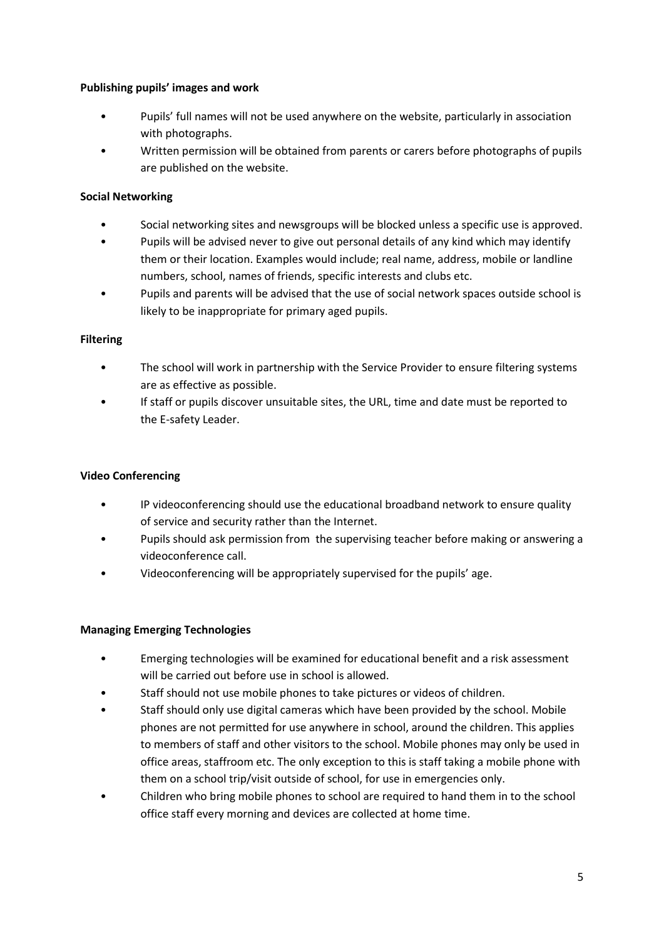# **Publishing pupils' images and work**

- Pupils' full names will not be used anywhere on the website, particularly in association with photographs.
- Written permission will be obtained from parents or carers before photographs of pupils are published on the website.

# **Social Networking**

- Social networking sites and newsgroups will be blocked unless a specific use is approved.
- Pupils will be advised never to give out personal details of any kind which may identify them or their location. Examples would include; real name, address, mobile or landline numbers, school, names of friends, specific interests and clubs etc.
- Pupils and parents will be advised that the use of social network spaces outside school is likely to be inappropriate for primary aged pupils.

#### **Filtering**

- The school will work in partnership with the Service Provider to ensure filtering systems are as effective as possible.
- If staff or pupils discover unsuitable sites, the URL, time and date must be reported to the E-safety Leader.

# **Video Conferencing**

- IP videoconferencing should use the educational broadband network to ensure quality of service and security rather than the Internet.
- Pupils should ask permission from the supervising teacher before making or answering a videoconference call.
- Videoconferencing will be appropriately supervised for the pupils' age.

# **Managing Emerging Technologies**

- Emerging technologies will be examined for educational benefit and a risk assessment will be carried out before use in school is allowed.
- Staff should not use mobile phones to take pictures or videos of children.
- Staff should only use digital cameras which have been provided by the school. Mobile phones are not permitted for use anywhere in school, around the children. This applies to members of staff and other visitors to the school. Mobile phones may only be used in office areas, staffroom etc. The only exception to this is staff taking a mobile phone with them on a school trip/visit outside of school, for use in emergencies only.
- Children who bring mobile phones to school are required to hand them in to the school office staff every morning and devices are collected at home time.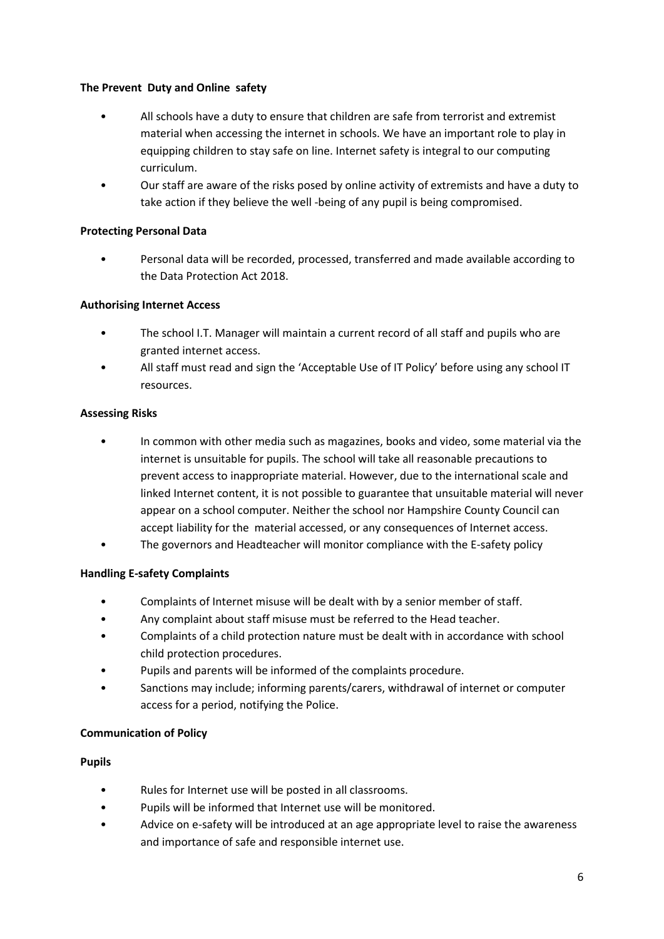# **The Prevent Duty and Online safety**

- All schools have a duty to ensure that children are safe from terrorist and extremist material when accessing the internet in schools. We have an important role to play in equipping children to stay safe on line. Internet safety is integral to our computing curriculum.
- Our staff are aware of the risks posed by online activity of extremists and have a duty to take action if they believe the well -being of any pupil is being compromised.

#### **Protecting Personal Data**

• Personal data will be recorded, processed, transferred and made available according to the Data Protection Act 2018.

#### **Authorising Internet Access**

- The school I.T. Manager will maintain a current record of all staff and pupils who are granted internet access.
- All staff must read and sign the 'Acceptable Use of IT Policy' before using any school IT resources.

#### **Assessing Risks**

- In common with other media such as magazines, books and video, some material via the internet is unsuitable for pupils. The school will take all reasonable precautions to prevent access to inappropriate material. However, due to the international scale and linked Internet content, it is not possible to guarantee that unsuitable material will never appear on a school computer. Neither the school nor Hampshire County Council can accept liability for the material accessed, or any consequences of Internet access.
- The governors and Headteacher will monitor compliance with the E-safety policy

# **Handling E-safety Complaints**

- Complaints of Internet misuse will be dealt with by a senior member of staff.
- Any complaint about staff misuse must be referred to the Head teacher.
- Complaints of a child protection nature must be dealt with in accordance with school child protection procedures.
- Pupils and parents will be informed of the complaints procedure.
- Sanctions may include; informing parents/carers, withdrawal of internet or computer access for a period, notifying the Police.

#### **Communication of Policy**

#### **Pupils**

- Rules for Internet use will be posted in all classrooms.
- Pupils will be informed that Internet use will be monitored.
- Advice on e-safety will be introduced at an age appropriate level to raise the awareness and importance of safe and responsible internet use.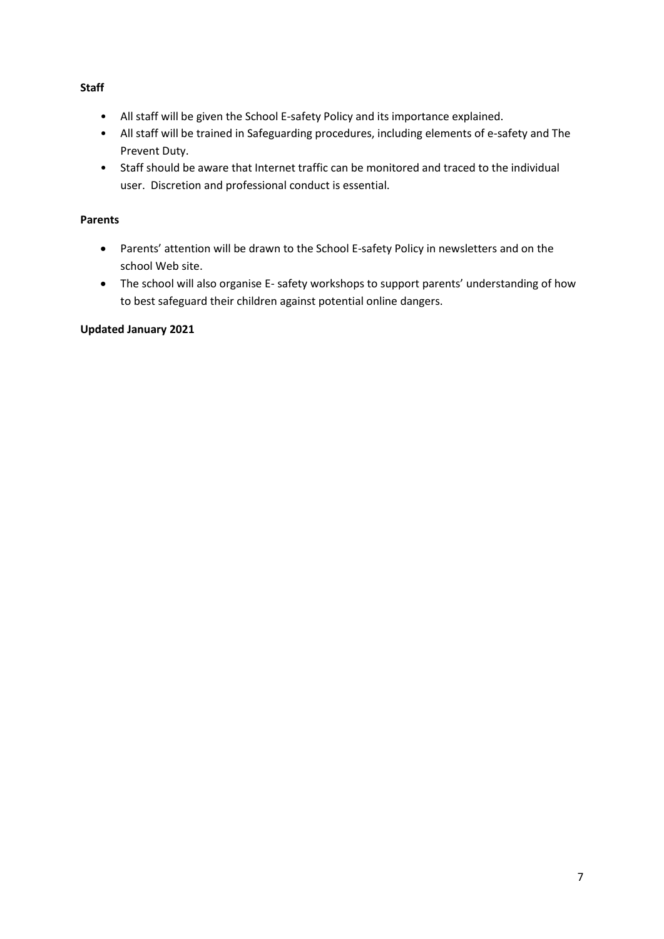# **Staff**

- All staff will be given the School E-safety Policy and its importance explained.
- All staff will be trained in Safeguarding procedures, including elements of e-safety and The Prevent Duty.
- Staff should be aware that Internet traffic can be monitored and traced to the individual user. Discretion and professional conduct is essential.

# **Parents**

- Parents' attention will be drawn to the School E-safety Policy in newsletters and on the school Web site.
- The school will also organise E- safety workshops to support parents' understanding of how to best safeguard their children against potential online dangers.

# **Updated January 2021**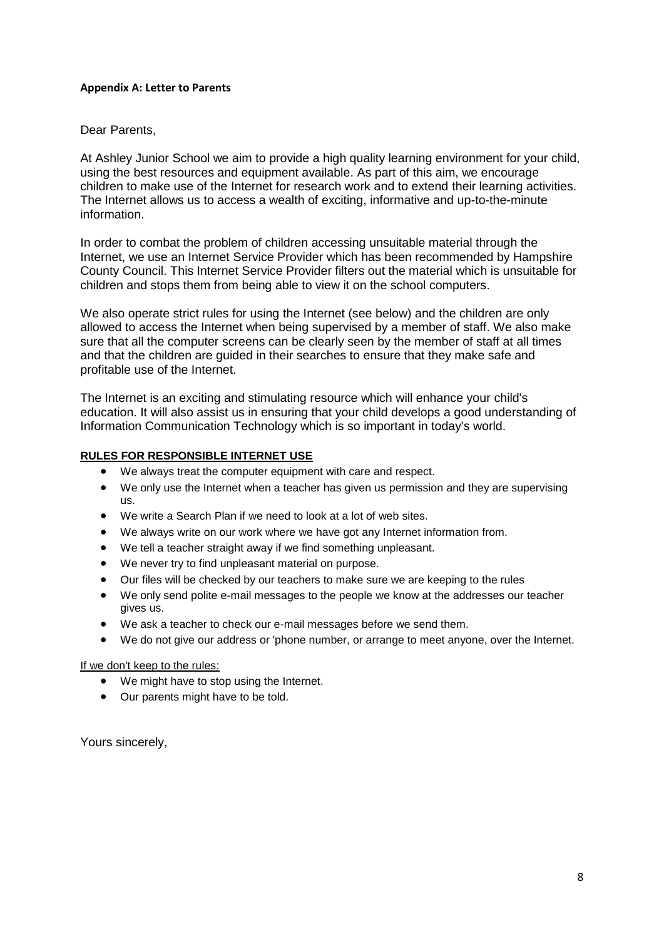#### **Appendix A: Letter to Parents**

### Dear Parents,

At Ashley Junior School we aim to provide a high quality learning environment for your child, using the best resources and equipment available. As part of this aim, we encourage children to make use of the Internet for research work and to extend their learning activities. The Internet allows us to access a wealth of exciting, informative and up-to-the-minute information.

In order to combat the problem of children accessing unsuitable material through the Internet, we use an Internet Service Provider which has been recommended by Hampshire County Council. This Internet Service Provider filters out the material which is unsuitable for children and stops them from being able to view it on the school computers.

We also operate strict rules for using the Internet (see below) and the children are only allowed to access the Internet when being supervised by a member of staff. We also make sure that all the computer screens can be clearly seen by the member of staff at all times and that the children are guided in their searches to ensure that they make safe and profitable use of the Internet.

The Internet is an exciting and stimulating resource which will enhance your child's education. It will also assist us in ensuring that your child develops a good understanding of Information Communication Technology which is so important in today's world.

#### **RULES FOR RESPONSIBLE INTERNET USE**

- We always treat the computer equipment with care and respect.
- We only use the Internet when a teacher has given us permission and they are supervising us.
- We write a Search Plan if we need to look at a lot of web sites.
- We always write on our work where we have got any Internet information from.
- We tell a teacher straight away if we find something unpleasant.
- We never try to find unpleasant material on purpose.
- Our files will be checked by our teachers to make sure we are keeping to the rules
- We only send polite e-mail messages to the people we know at the addresses our teacher gives us.
- We ask a teacher to check our e-mail messages before we send them.
- We do not give our address or 'phone number, or arrange to meet anyone, over the Internet.

#### If we don't keep to the rules:

- We might have to stop using the Internet.
- Our parents might have to be told.

Yours sincerely,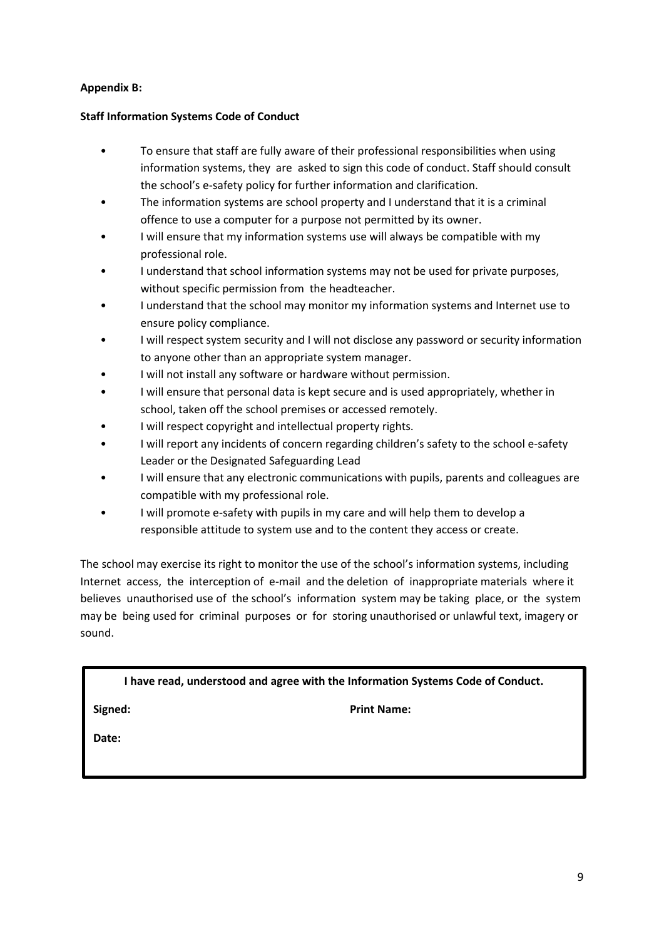# **Appendix B:**

# **Staff Information Systems Code of Conduct**

- To ensure that staff are fully aware of their professional responsibilities when using information systems, they are asked to sign this code of conduct. Staff should consult the school's e-safety policy for further information and clarification.
- The information systems are school property and I understand that it is a criminal offence to use a computer for a purpose not permitted by its owner.
- I will ensure that my information systems use will always be compatible with my professional role.
- I understand that school information systems may not be used for private purposes, without specific permission from the headteacher.
- I understand that the school may monitor my information systems and Internet use to ensure policy compliance.
- I will respect system security and I will not disclose any password or security information to anyone other than an appropriate system manager.
- I will not install any software or hardware without permission.
- I will ensure that personal data is kept secure and is used appropriately, whether in school, taken off the school premises or accessed remotely.
- I will respect copyright and intellectual property rights.
- I will report any incidents of concern regarding children's safety to the school e-safety Leader or the Designated Safeguarding Lead
- I will ensure that any electronic communications with pupils, parents and colleagues are compatible with my professional role.
- I will promote e-safety with pupils in my care and will help them to develop a responsible attitude to system use and to the content they access or create.

The school may exercise its right to monitor the use of the school's information systems, including Internet access, the interception of e-mail and the deletion of inappropriate materials where it believes unauthorised use of the school's information system may be taking place, or thesystem may be being used for criminal purposes or for storing unauthorised or unlawful text, imagery or sound.

**I have read, understood and agree with the Information Systems Code of Conduct.**

**Signed: Print Name:**

**Date:**